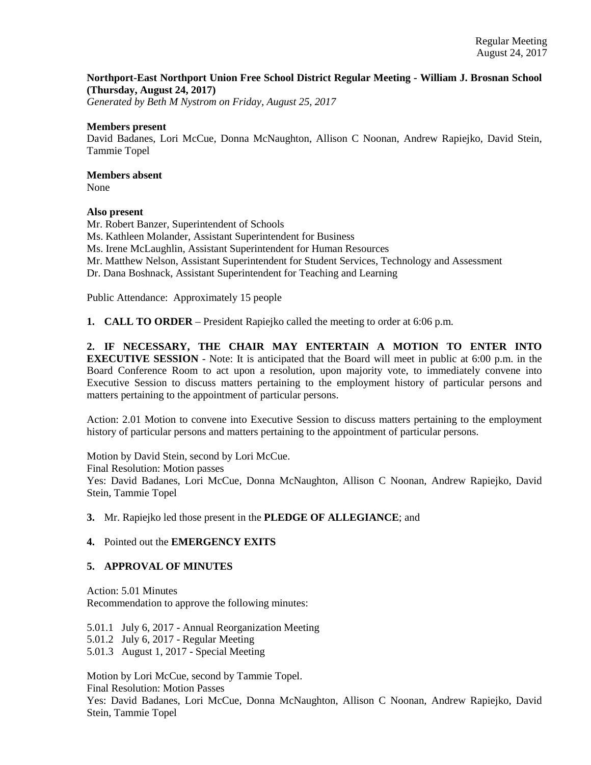### **Northport-East Northport Union Free School District Regular Meeting - William J. Brosnan School (Thursday, August 24, 2017)**

*Generated by Beth M Nystrom on Friday, August 25, 2017*

#### **Members present**

David Badanes, Lori McCue, Donna McNaughton, Allison C Noonan, Andrew Rapiejko, David Stein, Tammie Topel

# **Members absent**

None

### **Also present**

Mr. Robert Banzer, Superintendent of Schools Ms. Kathleen Molander, Assistant Superintendent for Business Ms. Irene McLaughlin, Assistant Superintendent for Human Resources Mr. Matthew Nelson, Assistant Superintendent for Student Services, Technology and Assessment Dr. Dana Boshnack, Assistant Superintendent for Teaching and Learning

Public Attendance: Approximately 15 people

**1. CALL TO ORDER** – President Rapiejko called the meeting to order at 6:06 p.m.

**2. IF NECESSARY, THE CHAIR MAY ENTERTAIN A MOTION TO ENTER INTO EXECUTIVE SESSION** - Note: It is anticipated that the Board will meet in public at 6:00 p.m. in the Board Conference Room to act upon a resolution, upon majority vote, to immediately convene into Executive Session to discuss matters pertaining to the employment history of particular persons and matters pertaining to the appointment of particular persons.

Action: 2.01 Motion to convene into Executive Session to discuss matters pertaining to the employment history of particular persons and matters pertaining to the appointment of particular persons.

Motion by David Stein, second by Lori McCue.

Final Resolution: Motion passes

Yes: David Badanes, Lori McCue, Donna McNaughton, Allison C Noonan, Andrew Rapiejko, David Stein, Tammie Topel

### **3.** Mr. Rapiejko led those present in the **PLEDGE OF ALLEGIANCE**; and

### **4.** Pointed out the **EMERGENCY EXITS**

### **5. APPROVAL OF MINUTES**

Action: 5.01 Minutes Recommendation to approve the following minutes:

5.01.1 July 6, 2017 - Annual Reorganization Meeting

5.01.2 July 6, 2017 - Regular Meeting

5.01.3 August 1, 2017 - Special Meeting

Motion by Lori McCue, second by Tammie Topel.

Final Resolution: Motion Passes

Yes: David Badanes, Lori McCue, Donna McNaughton, Allison C Noonan, Andrew Rapiejko, David Stein, Tammie Topel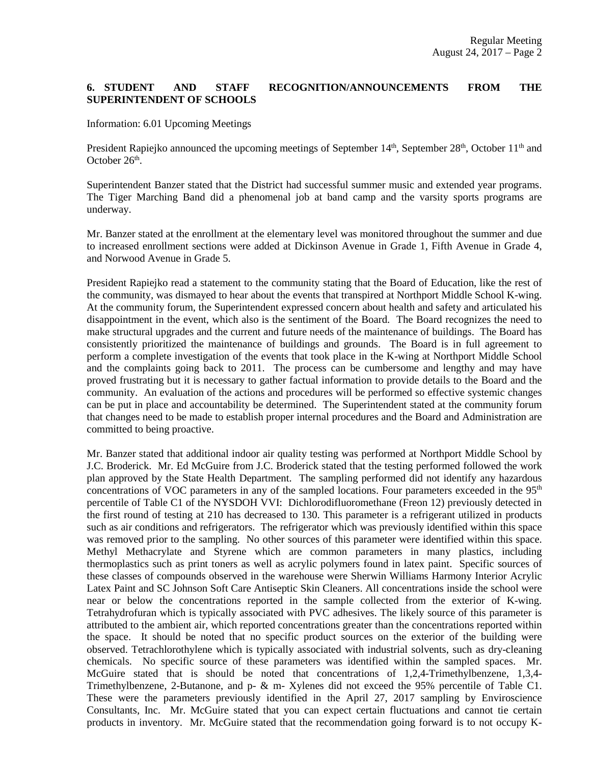## **6. STUDENT AND STAFF RECOGNITION/ANNOUNCEMENTS FROM THE SUPERINTENDENT OF SCHOOLS**

Information: 6.01 Upcoming Meetings

President Rapiejko announced the upcoming meetings of September 14<sup>th</sup>, September 28<sup>th</sup>, October 11<sup>th</sup> and October  $26<sup>th</sup>$ .

Superintendent Banzer stated that the District had successful summer music and extended year programs. The Tiger Marching Band did a phenomenal job at band camp and the varsity sports programs are underway.

Mr. Banzer stated at the enrollment at the elementary level was monitored throughout the summer and due to increased enrollment sections were added at Dickinson Avenue in Grade 1, Fifth Avenue in Grade 4, and Norwood Avenue in Grade 5.

President Rapiejko read a statement to the community stating that the Board of Education, like the rest of the community, was dismayed to hear about the events that transpired at Northport Middle School K-wing. At the community forum, the Superintendent expressed concern about health and safety and articulated his disappointment in the event, which also is the sentiment of the Board. The Board recognizes the need to make structural upgrades and the current and future needs of the maintenance of buildings. The Board has consistently prioritized the maintenance of buildings and grounds. The Board is in full agreement to perform a complete investigation of the events that took place in the K-wing at Northport Middle School and the complaints going back to 2011. The process can be cumbersome and lengthy and may have proved frustrating but it is necessary to gather factual information to provide details to the Board and the community. An evaluation of the actions and procedures will be performed so effective systemic changes can be put in place and accountability be determined. The Superintendent stated at the community forum that changes need to be made to establish proper internal procedures and the Board and Administration are committed to being proactive.

Mr. Banzer stated that additional indoor air quality testing was performed at Northport Middle School by J.C. Broderick. Mr. Ed McGuire from J.C. Broderick stated that the testing performed followed the work plan approved by the State Health Department. The sampling performed did not identify any hazardous concentrations of VOC parameters in any of the sampled locations. Four parameters exceeded in the  $95<sup>th</sup>$ percentile of Table C1 of the NYSDOH VVI: Dichlorodifluoromethane (Freon 12) previously detected in the first round of testing at 210 has decreased to 130. This parameter is a refrigerant utilized in products such as air conditions and refrigerators. The refrigerator which was previously identified within this space was removed prior to the sampling. No other sources of this parameter were identified within this space. Methyl Methacrylate and Styrene which are common parameters in many plastics, including thermoplastics such as print toners as well as acrylic polymers found in latex paint. Specific sources of these classes of compounds observed in the warehouse were Sherwin Williams Harmony Interior Acrylic Latex Paint and SC Johnson Soft Care Antiseptic Skin Cleaners. All concentrations inside the school were near or below the concentrations reported in the sample collected from the exterior of K-wing. Tetrahydrofuran which is typically associated with PVC adhesives. The likely source of this parameter is attributed to the ambient air, which reported concentrations greater than the concentrations reported within the space. It should be noted that no specific product sources on the exterior of the building were observed. Tetrachlorothylene which is typically associated with industrial solvents, such as dry-cleaning chemicals. No specific source of these parameters was identified within the sampled spaces. Mr. McGuire stated that is should be noted that concentrations of 1,2,4-Trimethylbenzene, 1,3,4- Trimethylbenzene, 2-Butanone, and p- & m- Xylenes did not exceed the 95% percentile of Table C1. These were the parameters previously identified in the April 27, 2017 sampling by Enviroscience Consultants, Inc. Mr. McGuire stated that you can expect certain fluctuations and cannot tie certain products in inventory. Mr. McGuire stated that the recommendation going forward is to not occupy K-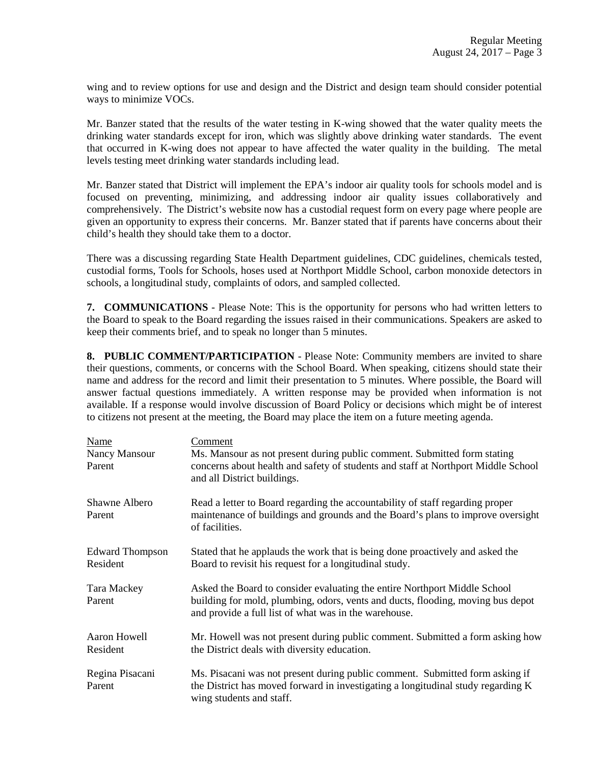wing and to review options for use and design and the District and design team should consider potential ways to minimize VOCs.

Mr. Banzer stated that the results of the water testing in K-wing showed that the water quality meets the drinking water standards except for iron, which was slightly above drinking water standards. The event that occurred in K-wing does not appear to have affected the water quality in the building. The metal levels testing meet drinking water standards including lead.

Mr. Banzer stated that District will implement the EPA's indoor air quality tools for schools model and is focused on preventing, minimizing, and addressing indoor air quality issues collaboratively and comprehensively. The District's website now has a custodial request form on every page where people are given an opportunity to express their concerns. Mr. Banzer stated that if parents have concerns about their child's health they should take them to a doctor.

There was a discussing regarding State Health Department guidelines, CDC guidelines, chemicals tested, custodial forms, Tools for Schools, hoses used at Northport Middle School, carbon monoxide detectors in schools, a longitudinal study, complaints of odors, and sampled collected.

**7. COMMUNICATIONS** - Please Note: This is the opportunity for persons who had written letters to the Board to speak to the Board regarding the issues raised in their communications. Speakers are asked to keep their comments brief, and to speak no longer than 5 minutes.

**8. PUBLIC COMMENT/PARTICIPATION** - Please Note: Community members are invited to share their questions, comments, or concerns with the School Board. When speaking, citizens should state their name and address for the record and limit their presentation to 5 minutes. Where possible, the Board will answer factual questions immediately. A written response may be provided when information is not available. If a response would involve discussion of Board Policy or decisions which might be of interest to citizens not present at the meeting, the Board may place the item on a future meeting agenda.

| Name<br>Nancy Mansour<br>Parent    | Comment<br>Ms. Mansour as not present during public comment. Submitted form stating<br>concerns about health and safety of students and staff at Northport Middle School<br>and all District buildings.               |
|------------------------------------|-----------------------------------------------------------------------------------------------------------------------------------------------------------------------------------------------------------------------|
| Shawne Albero<br>Parent            | Read a letter to Board regarding the accountability of staff regarding proper<br>maintenance of buildings and grounds and the Board's plans to improve oversight<br>of facilities.                                    |
| <b>Edward Thompson</b><br>Resident | Stated that he applauds the work that is being done proactively and asked the<br>Board to revisit his request for a longitudinal study.                                                                               |
| Tara Mackey<br>Parent              | Asked the Board to consider evaluating the entire Northport Middle School<br>building for mold, plumbing, odors, vents and ducts, flooding, moving bus depot<br>and provide a full list of what was in the warehouse. |
| Aaron Howell<br>Resident           | Mr. Howell was not present during public comment. Submitted a form asking how<br>the District deals with diversity education.                                                                                         |
| Regina Pisacani<br>Parent          | Ms. Pisacani was not present during public comment. Submitted form asking if<br>the District has moved forward in investigating a longitudinal study regarding K<br>wing students and staff.                          |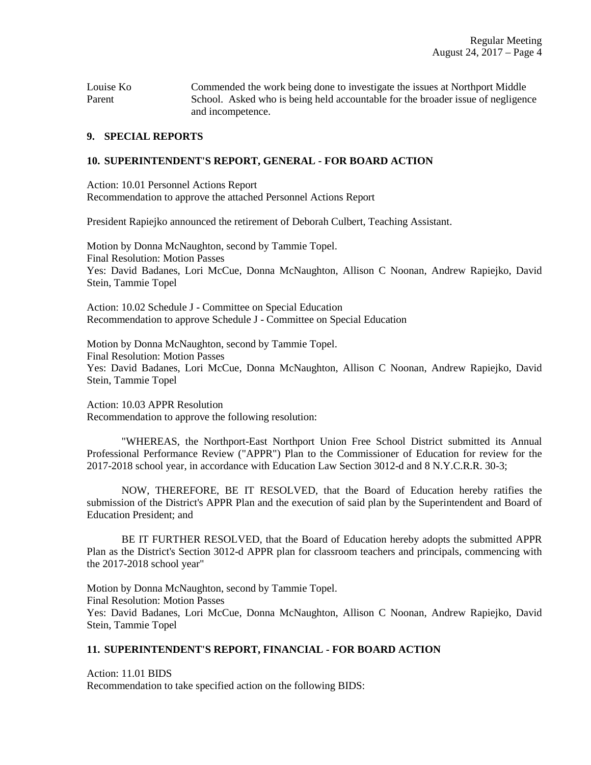Louise Ko Commended the work being done to investigate the issues at Northport Middle Parent School. Asked who is being held accountable for the broader issue of negligence and incompetence.

#### **9. SPECIAL REPORTS**

#### **10. SUPERINTENDENT'S REPORT, GENERAL - FOR BOARD ACTION**

Action: 10.01 Personnel Actions Report Recommendation to approve the attached Personnel Actions Report

President Rapiejko announced the retirement of Deborah Culbert, Teaching Assistant.

Motion by Donna McNaughton, second by Tammie Topel. Final Resolution: Motion Passes Yes: David Badanes, Lori McCue, Donna McNaughton, Allison C Noonan, Andrew Rapiejko, David Stein, Tammie Topel

Action: 10.02 Schedule J - Committee on Special Education Recommendation to approve Schedule J - Committee on Special Education

Motion by Donna McNaughton, second by Tammie Topel. Final Resolution: Motion Passes Yes: David Badanes, Lori McCue, Donna McNaughton, Allison C Noonan, Andrew Rapiejko, David Stein, Tammie Topel

Action: 10.03 APPR Resolution Recommendation to approve the following resolution:

"WHEREAS, the Northport-East Northport Union Free School District submitted its Annual Professional Performance Review ("APPR") Plan to the Commissioner of Education for review for the 2017-2018 school year, in accordance with Education Law Section 3012-d and 8 N.Y.C.R.R. 30-3;

NOW, THEREFORE, BE IT RESOLVED, that the Board of Education hereby ratifies the submission of the District's APPR Plan and the execution of said plan by the Superintendent and Board of Education President; and

BE IT FURTHER RESOLVED, that the Board of Education hereby adopts the submitted APPR Plan as the District's Section 3012-d APPR plan for classroom teachers and principals, commencing with the 2017-2018 school year"

Motion by Donna McNaughton, second by Tammie Topel. Final Resolution: Motion Passes Yes: David Badanes, Lori McCue, Donna McNaughton, Allison C Noonan, Andrew Rapiejko, David Stein, Tammie Topel

### **11. SUPERINTENDENT'S REPORT, FINANCIAL - FOR BOARD ACTION**

Action: 11.01 BIDS Recommendation to take specified action on the following BIDS: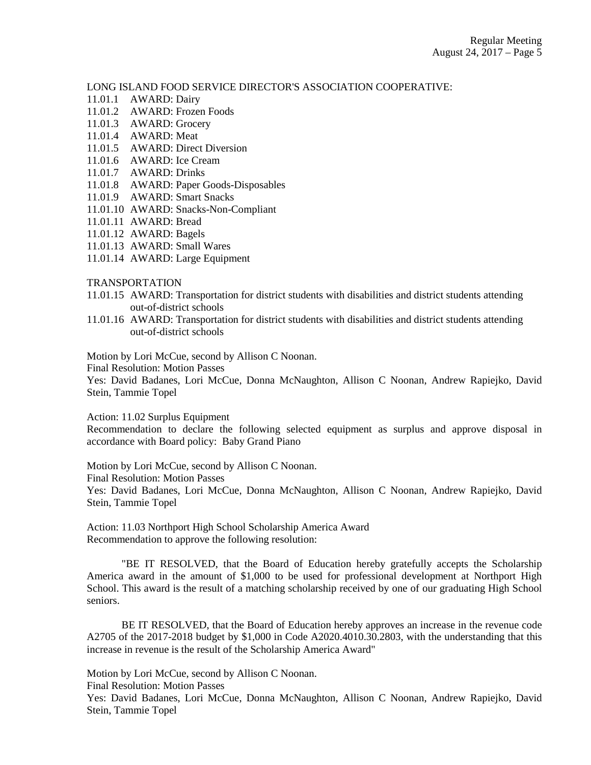LONG ISLAND FOOD SERVICE DIRECTOR'S ASSOCIATION COOPERATIVE:

- 11.01.1 AWARD: Dairy
- 11.01.2 AWARD: Frozen Foods
- 11.01.3 AWARD: Grocery
- 11.01.4 AWARD: Meat
- 11.01.5 AWARD: Direct Diversion
- 11.01.6 AWARD: Ice Cream
- 11.01.7 AWARD: Drinks
- 11.01.8 AWARD: Paper Goods-Disposables
- 11.01.9 AWARD: Smart Snacks
- 11.01.10 AWARD: Snacks-Non-Compliant
- 11.01.11 AWARD: Bread
- 11.01.12 AWARD: Bagels
- 11.01.13 AWARD: Small Wares
- 11.01.14 AWARD: Large Equipment

#### TRANSPORTATION

- 11.01.15 AWARD: Transportation for district students with disabilities and district students attending out-of-district schools
- 11.01.16 AWARD: Transportation for district students with disabilities and district students attending out-of-district schools

Motion by Lori McCue, second by Allison C Noonan.

Final Resolution: Motion Passes

Yes: David Badanes, Lori McCue, Donna McNaughton, Allison C Noonan, Andrew Rapiejko, David Stein, Tammie Topel

Action: 11.02 Surplus Equipment

Recommendation to declare the following selected equipment as surplus and approve disposal in accordance with Board policy: Baby Grand Piano

Motion by Lori McCue, second by Allison C Noonan.

Final Resolution: Motion Passes

Yes: David Badanes, Lori McCue, Donna McNaughton, Allison C Noonan, Andrew Rapiejko, David Stein, Tammie Topel

Action: 11.03 Northport High School Scholarship America Award Recommendation to approve the following resolution:

"BE IT RESOLVED, that the Board of Education hereby gratefully accepts the Scholarship America award in the amount of \$1,000 to be used for professional development at Northport High School. This award is the result of a matching scholarship received by one of our graduating High School seniors.

BE IT RESOLVED, that the Board of Education hereby approves an increase in the revenue code A2705 of the 2017-2018 budget by \$1,000 in Code A2020.4010.30.2803, with the understanding that this increase in revenue is the result of the Scholarship America Award"

Motion by Lori McCue, second by Allison C Noonan.

Final Resolution: Motion Passes

Yes: David Badanes, Lori McCue, Donna McNaughton, Allison C Noonan, Andrew Rapiejko, David Stein, Tammie Topel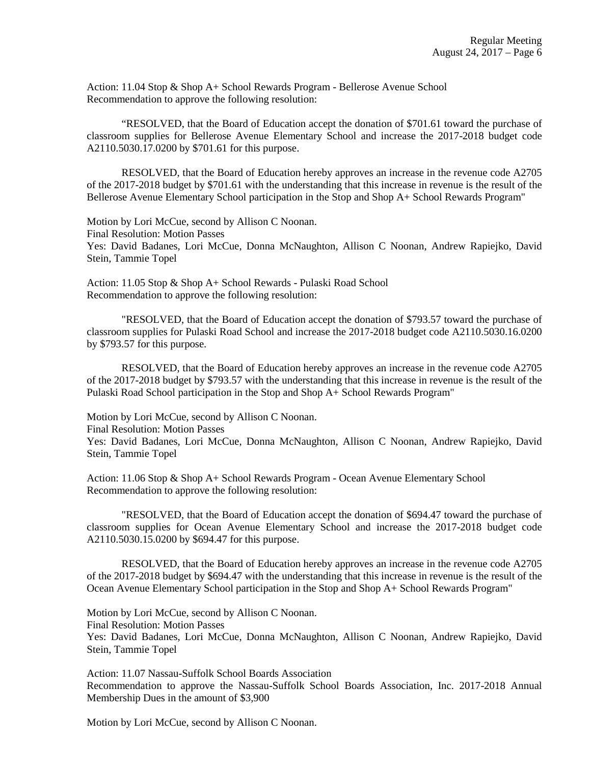Action: 11.04 Stop & Shop A+ School Rewards Program - Bellerose Avenue School Recommendation to approve the following resolution:

"RESOLVED, that the Board of Education accept the donation of \$701.61 toward the purchase of classroom supplies for Bellerose Avenue Elementary School and increase the 2017-2018 budget code A2110.5030.17.0200 by \$701.61 for this purpose.

RESOLVED, that the Board of Education hereby approves an increase in the revenue code A2705 of the 2017-2018 budget by \$701.61 with the understanding that this increase in revenue is the result of the Bellerose Avenue Elementary School participation in the Stop and Shop A+ School Rewards Program"

Motion by Lori McCue, second by Allison C Noonan. Final Resolution: Motion Passes Yes: David Badanes, Lori McCue, Donna McNaughton, Allison C Noonan, Andrew Rapiejko, David Stein, Tammie Topel

Action: 11.05 Stop & Shop A+ School Rewards - Pulaski Road School Recommendation to approve the following resolution:

"RESOLVED, that the Board of Education accept the donation of \$793.57 toward the purchase of classroom supplies for Pulaski Road School and increase the 2017-2018 budget code A2110.5030.16.0200 by \$793.57 for this purpose.

RESOLVED, that the Board of Education hereby approves an increase in the revenue code A2705 of the 2017-2018 budget by \$793.57 with the understanding that this increase in revenue is the result of the Pulaski Road School participation in the Stop and Shop A+ School Rewards Program"

Motion by Lori McCue, second by Allison C Noonan.

Final Resolution: Motion Passes

Yes: David Badanes, Lori McCue, Donna McNaughton, Allison C Noonan, Andrew Rapiejko, David Stein, Tammie Topel

Action: 11.06 Stop & Shop A+ School Rewards Program - Ocean Avenue Elementary School Recommendation to approve the following resolution:

"RESOLVED, that the Board of Education accept the donation of \$694.47 toward the purchase of classroom supplies for Ocean Avenue Elementary School and increase the 2017-2018 budget code A2110.5030.15.0200 by \$694.47 for this purpose.

RESOLVED, that the Board of Education hereby approves an increase in the revenue code A2705 of the 2017-2018 budget by \$694.47 with the understanding that this increase in revenue is the result of the Ocean Avenue Elementary School participation in the Stop and Shop A+ School Rewards Program"

Motion by Lori McCue, second by Allison C Noonan.

Final Resolution: Motion Passes

Yes: David Badanes, Lori McCue, Donna McNaughton, Allison C Noonan, Andrew Rapiejko, David Stein, Tammie Topel

Action: 11.07 Nassau-Suffolk School Boards Association Recommendation to approve the Nassau-Suffolk School Boards Association, Inc. 2017-2018 Annual Membership Dues in the amount of \$3,900

Motion by Lori McCue, second by Allison C Noonan.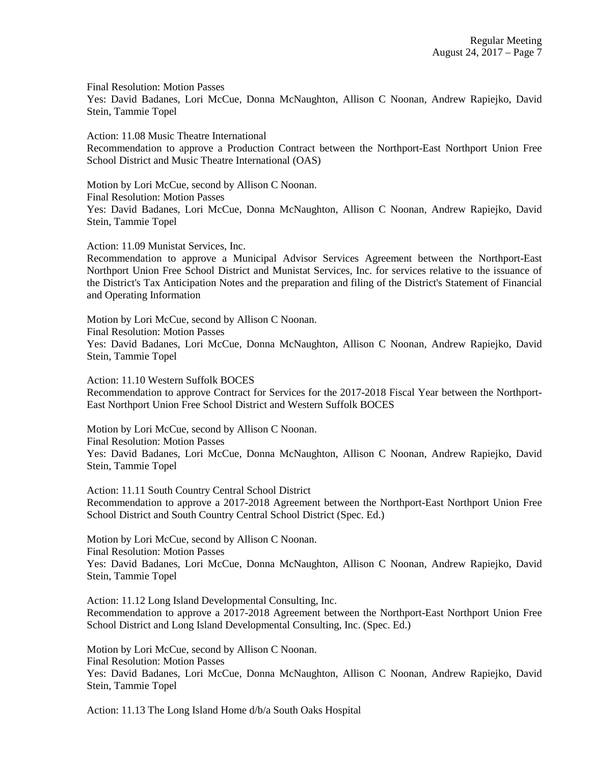Final Resolution: Motion Passes

Yes: David Badanes, Lori McCue, Donna McNaughton, Allison C Noonan, Andrew Rapiejko, David Stein, Tammie Topel

Action: 11.08 Music Theatre International Recommendation to approve a Production Contract between the Northport-East Northport Union Free School District and Music Theatre International (OAS)

Motion by Lori McCue, second by Allison C Noonan. Final Resolution: Motion Passes Yes: David Badanes, Lori McCue, Donna McNaughton, Allison C Noonan, Andrew Rapiejko, David Stein, Tammie Topel

Action: 11.09 Munistat Services, Inc.

Recommendation to approve a Municipal Advisor Services Agreement between the Northport-East Northport Union Free School District and Munistat Services, Inc. for services relative to the issuance of the District's Tax Anticipation Notes and the preparation and filing of the District's Statement of Financial and Operating Information

Motion by Lori McCue, second by Allison C Noonan.

Final Resolution: Motion Passes

Yes: David Badanes, Lori McCue, Donna McNaughton, Allison C Noonan, Andrew Rapiejko, David Stein, Tammie Topel

Action: 11.10 Western Suffolk BOCES Recommendation to approve Contract for Services for the 2017-2018 Fiscal Year between the Northport-East Northport Union Free School District and Western Suffolk BOCES

Motion by Lori McCue, second by Allison C Noonan. Final Resolution: Motion Passes Yes: David Badanes, Lori McCue, Donna McNaughton, Allison C Noonan, Andrew Rapiejko, David Stein, Tammie Topel

Action: 11.11 South Country Central School District Recommendation to approve a 2017-2018 Agreement between the Northport-East Northport Union Free School District and South Country Central School District (Spec. Ed.)

Motion by Lori McCue, second by Allison C Noonan. Final Resolution: Motion Passes Yes: David Badanes, Lori McCue, Donna McNaughton, Allison C Noonan, Andrew Rapiejko, David Stein, Tammie Topel

Action: 11.12 Long Island Developmental Consulting, Inc. Recommendation to approve a 2017-2018 Agreement between the Northport-East Northport Union Free School District and Long Island Developmental Consulting, Inc. (Spec. Ed.)

Motion by Lori McCue, second by Allison C Noonan. Final Resolution: Motion Passes Yes: David Badanes, Lori McCue, Donna McNaughton, Allison C Noonan, Andrew Rapiejko, David Stein, Tammie Topel

Action: 11.13 The Long Island Home d/b/a South Oaks Hospital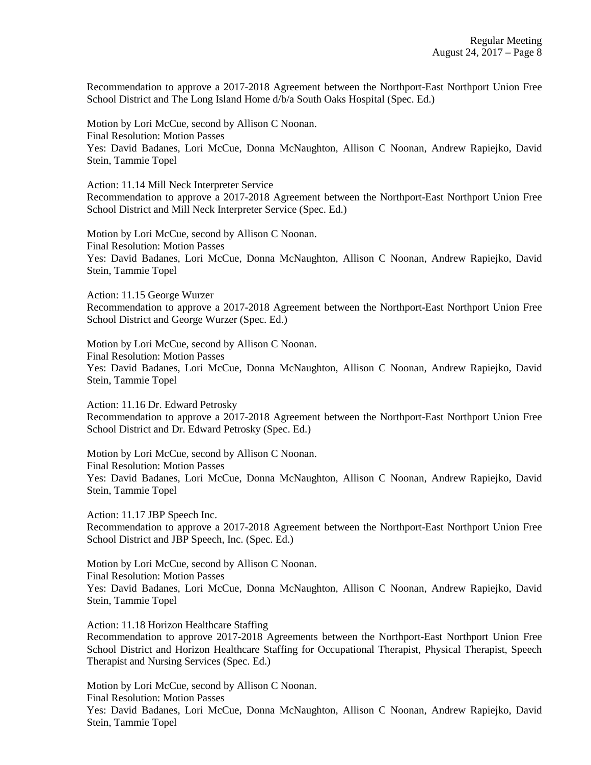Recommendation to approve a 2017-2018 Agreement between the Northport-East Northport Union Free School District and The Long Island Home d/b/a South Oaks Hospital (Spec. Ed.)

Motion by Lori McCue, second by Allison C Noonan. Final Resolution: Motion Passes Yes: David Badanes, Lori McCue, Donna McNaughton, Allison C Noonan, Andrew Rapiejko, David Stein, Tammie Topel

Action: 11.14 Mill Neck Interpreter Service Recommendation to approve a 2017-2018 Agreement between the Northport-East Northport Union Free School District and Mill Neck Interpreter Service (Spec. Ed.)

Motion by Lori McCue, second by Allison C Noonan. Final Resolution: Motion Passes Yes: David Badanes, Lori McCue, Donna McNaughton, Allison C Noonan, Andrew Rapiejko, David Stein, Tammie Topel

Action: 11.15 George Wurzer Recommendation to approve a 2017-2018 Agreement between the Northport-East Northport Union Free School District and George Wurzer (Spec. Ed.)

Motion by Lori McCue, second by Allison C Noonan. Final Resolution: Motion Passes Yes: David Badanes, Lori McCue, Donna McNaughton, Allison C Noonan, Andrew Rapiejko, David Stein, Tammie Topel

Action: 11.16 Dr. Edward Petrosky Recommendation to approve a 2017-2018 Agreement between the Northport-East Northport Union Free School District and Dr. Edward Petrosky (Spec. Ed.)

Motion by Lori McCue, second by Allison C Noonan. Final Resolution: Motion Passes Yes: David Badanes, Lori McCue, Donna McNaughton, Allison C Noonan, Andrew Rapiejko, David Stein, Tammie Topel

Action: 11.17 JBP Speech Inc. Recommendation to approve a 2017-2018 Agreement between the Northport-East Northport Union Free School District and JBP Speech, Inc. (Spec. Ed.)

Motion by Lori McCue, second by Allison C Noonan. Final Resolution: Motion Passes Yes: David Badanes, Lori McCue, Donna McNaughton, Allison C Noonan, Andrew Rapiejko, David Stein, Tammie Topel

Action: 11.18 Horizon Healthcare Staffing

Recommendation to approve 2017-2018 Agreements between the Northport-East Northport Union Free School District and Horizon Healthcare Staffing for Occupational Therapist, Physical Therapist, Speech Therapist and Nursing Services (Spec. Ed.)

Motion by Lori McCue, second by Allison C Noonan. Final Resolution: Motion Passes

Yes: David Badanes, Lori McCue, Donna McNaughton, Allison C Noonan, Andrew Rapiejko, David Stein, Tammie Topel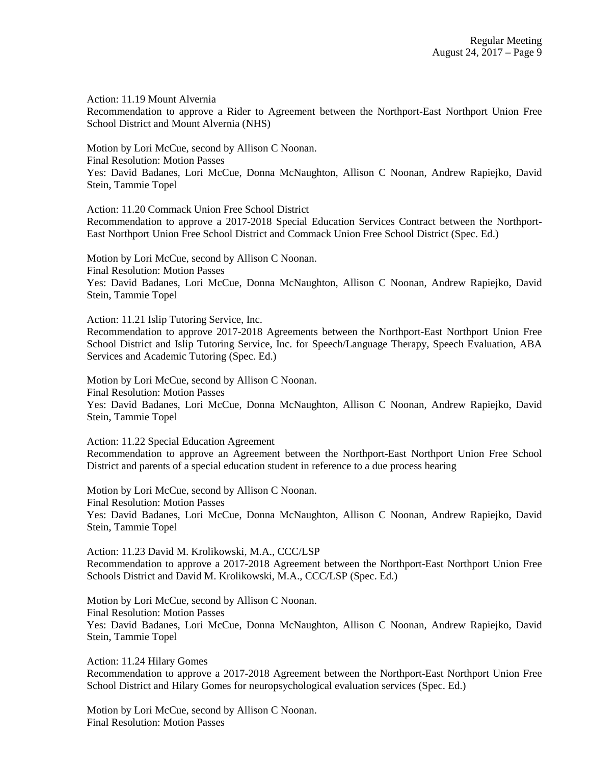Action: 11.19 Mount Alvernia

Recommendation to approve a Rider to Agreement between the Northport-East Northport Union Free School District and Mount Alvernia (NHS)

Motion by Lori McCue, second by Allison C Noonan. Final Resolution: Motion Passes Yes: David Badanes, Lori McCue, Donna McNaughton, Allison C Noonan, Andrew Rapiejko, David Stein, Tammie Topel

Action: 11.20 Commack Union Free School District

Recommendation to approve a 2017-2018 Special Education Services Contract between the Northport-East Northport Union Free School District and Commack Union Free School District (Spec. Ed.)

Motion by Lori McCue, second by Allison C Noonan.

Final Resolution: Motion Passes Yes: David Badanes, Lori McCue, Donna McNaughton, Allison C Noonan, Andrew Rapiejko, David

Stein, Tammie Topel

Action: 11.21 Islip Tutoring Service, Inc.

Recommendation to approve 2017-2018 Agreements between the Northport-East Northport Union Free School District and Islip Tutoring Service, Inc. for Speech/Language Therapy, Speech Evaluation, ABA Services and Academic Tutoring (Spec. Ed.)

Motion by Lori McCue, second by Allison C Noonan. Final Resolution: Motion Passes Yes: David Badanes, Lori McCue, Donna McNaughton, Allison C Noonan, Andrew Rapiejko, David

Stein, Tammie Topel

Action: 11.22 Special Education Agreement

Recommendation to approve an Agreement between the Northport-East Northport Union Free School District and parents of a special education student in reference to a due process hearing

Motion by Lori McCue, second by Allison C Noonan. Final Resolution: Motion Passes Yes: David Badanes, Lori McCue, Donna McNaughton, Allison C Noonan, Andrew Rapiejko, David Stein, Tammie Topel

Action: 11.23 David M. Krolikowski, M.A., CCC/LSP Recommendation to approve a 2017-2018 Agreement between the Northport-East Northport Union Free Schools District and David M. Krolikowski, M.A., CCC/LSP (Spec. Ed.)

Motion by Lori McCue, second by Allison C Noonan. Final Resolution: Motion Passes Yes: David Badanes, Lori McCue, Donna McNaughton, Allison C Noonan, Andrew Rapiejko, David Stein, Tammie Topel

Action: 11.24 Hilary Gomes Recommendation to approve a 2017-2018 Agreement between the Northport-East Northport Union Free School District and Hilary Gomes for neuropsychological evaluation services (Spec. Ed.)

Motion by Lori McCue, second by Allison C Noonan. Final Resolution: Motion Passes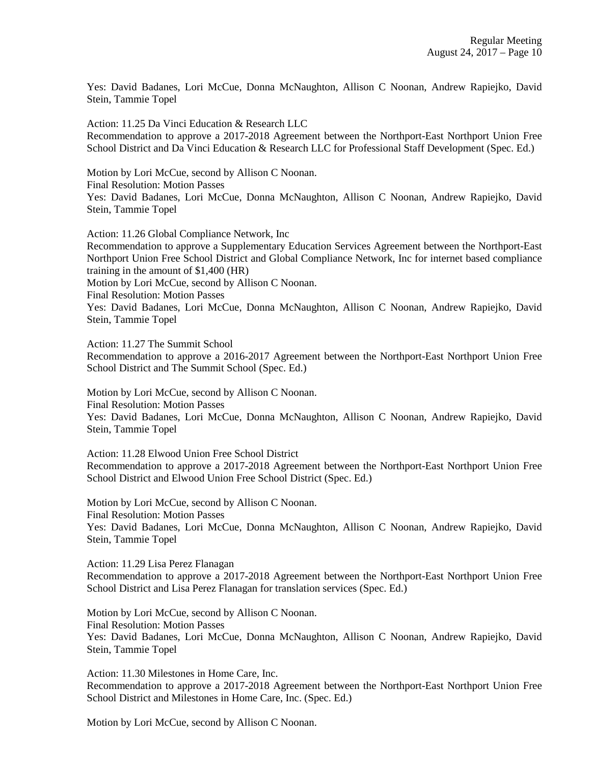Yes: David Badanes, Lori McCue, Donna McNaughton, Allison C Noonan, Andrew Rapiejko, David Stein, Tammie Topel

Action: 11.25 Da Vinci Education & Research LLC Recommendation to approve a 2017-2018 Agreement between the Northport-East Northport Union Free School District and Da Vinci Education & Research LLC for Professional Staff Development (Spec. Ed.)

Motion by Lori McCue, second by Allison C Noonan. Final Resolution: Motion Passes Yes: David Badanes, Lori McCue, Donna McNaughton, Allison C Noonan, Andrew Rapiejko, David Stein, Tammie Topel

Action: 11.26 Global Compliance Network, Inc

Recommendation to approve a Supplementary Education Services Agreement between the Northport-East Northport Union Free School District and Global Compliance Network, Inc for internet based compliance training in the amount of \$1,400 (HR)

Motion by Lori McCue, second by Allison C Noonan.

Final Resolution: Motion Passes

Yes: David Badanes, Lori McCue, Donna McNaughton, Allison C Noonan, Andrew Rapiejko, David Stein, Tammie Topel

Action: 11.27 The Summit School

Recommendation to approve a 2016-2017 Agreement between the Northport-East Northport Union Free School District and The Summit School (Spec. Ed.)

Motion by Lori McCue, second by Allison C Noonan.

Final Resolution: Motion Passes

Yes: David Badanes, Lori McCue, Donna McNaughton, Allison C Noonan, Andrew Rapiejko, David Stein, Tammie Topel

Action: 11.28 Elwood Union Free School District Recommendation to approve a 2017-2018 Agreement between the Northport-East Northport Union Free School District and Elwood Union Free School District (Spec. Ed.)

Motion by Lori McCue, second by Allison C Noonan. Final Resolution: Motion Passes Yes: David Badanes, Lori McCue, Donna McNaughton, Allison C Noonan, Andrew Rapiejko, David Stein, Tammie Topel

Action: 11.29 Lisa Perez Flanagan

Recommendation to approve a 2017-2018 Agreement between the Northport-East Northport Union Free School District and Lisa Perez Flanagan for translation services (Spec. Ed.)

Motion by Lori McCue, second by Allison C Noonan. Final Resolution: Motion Passes Yes: David Badanes, Lori McCue, Donna McNaughton, Allison C Noonan, Andrew Rapiejko, David Stein, Tammie Topel

Action: 11.30 Milestones in Home Care, Inc. Recommendation to approve a 2017-2018 Agreement between the Northport-East Northport Union Free School District and Milestones in Home Care, Inc. (Spec. Ed.)

Motion by Lori McCue, second by Allison C Noonan.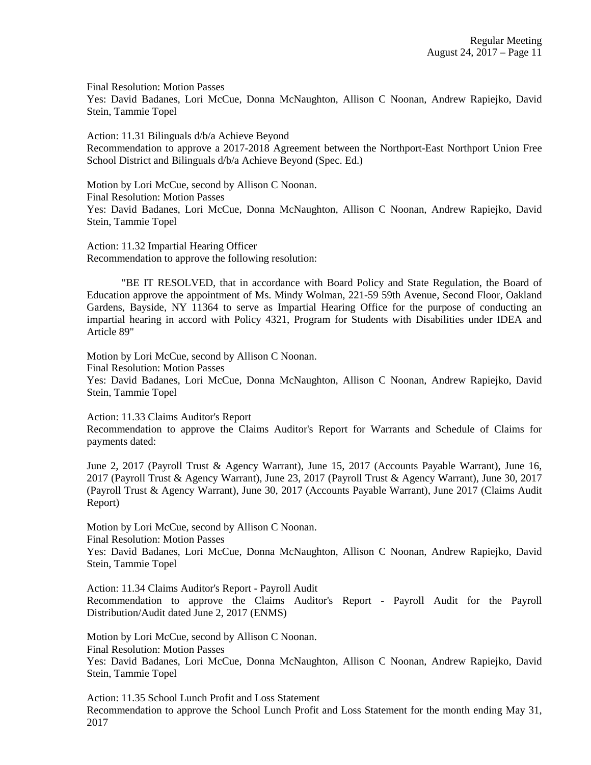Final Resolution: Motion Passes Yes: David Badanes, Lori McCue, Donna McNaughton, Allison C Noonan, Andrew Rapiejko, David Stein, Tammie Topel

Action: 11.31 Bilinguals d/b/a Achieve Beyond Recommendation to approve a 2017-2018 Agreement between the Northport-East Northport Union Free School District and Bilinguals d/b/a Achieve Beyond (Spec. Ed.)

Motion by Lori McCue, second by Allison C Noonan. Final Resolution: Motion Passes Yes: David Badanes, Lori McCue, Donna McNaughton, Allison C Noonan, Andrew Rapiejko, David Stein, Tammie Topel

Action: 11.32 Impartial Hearing Officer Recommendation to approve the following resolution:

"BE IT RESOLVED, that in accordance with Board Policy and State Regulation, the Board of Education approve the appointment of Ms. Mindy Wolman, 221-59 59th Avenue, Second Floor, Oakland Gardens, Bayside, NY 11364 to serve as Impartial Hearing Office for the purpose of conducting an impartial hearing in accord with Policy 4321, Program for Students with Disabilities under IDEA and Article 89"

Motion by Lori McCue, second by Allison C Noonan.

Final Resolution: Motion Passes

Yes: David Badanes, Lori McCue, Donna McNaughton, Allison C Noonan, Andrew Rapiejko, David Stein, Tammie Topel

Action: 11.33 Claims Auditor's Report

Recommendation to approve the Claims Auditor's Report for Warrants and Schedule of Claims for payments dated:

June 2, 2017 (Payroll Trust & Agency Warrant), June 15, 2017 (Accounts Payable Warrant), June 16, 2017 (Payroll Trust & Agency Warrant), June 23, 2017 (Payroll Trust & Agency Warrant), June 30, 2017 (Payroll Trust & Agency Warrant), June 30, 2017 (Accounts Payable Warrant), June 2017 (Claims Audit Report)

Motion by Lori McCue, second by Allison C Noonan.

Final Resolution: Motion Passes

Yes: David Badanes, Lori McCue, Donna McNaughton, Allison C Noonan, Andrew Rapiejko, David Stein, Tammie Topel

Action: 11.34 Claims Auditor's Report - Payroll Audit Recommendation to approve the Claims Auditor's Report - Payroll Audit for the Payroll Distribution/Audit dated June 2, 2017 (ENMS)

Motion by Lori McCue, second by Allison C Noonan. Final Resolution: Motion Passes Yes: David Badanes, Lori McCue, Donna McNaughton, Allison C Noonan, Andrew Rapiejko, David Stein, Tammie Topel

Action: 11.35 School Lunch Profit and Loss Statement Recommendation to approve the School Lunch Profit and Loss Statement for the month ending May 31, 2017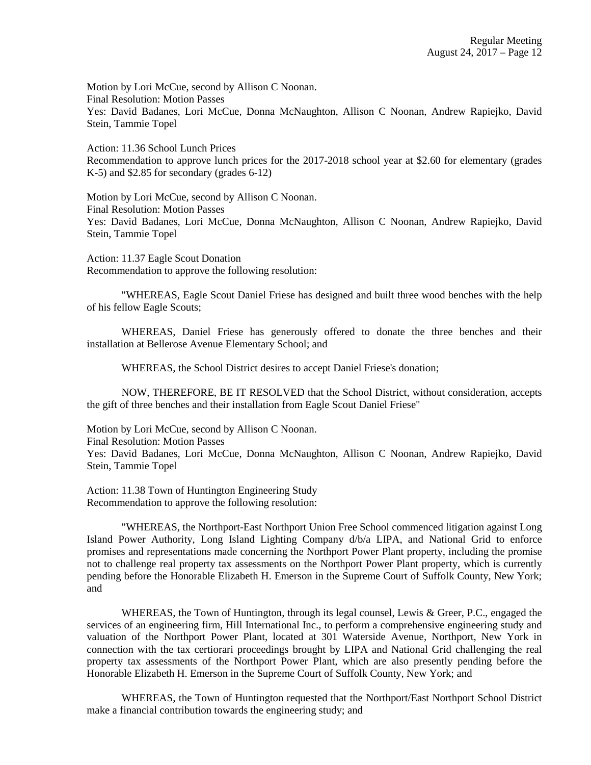Motion by Lori McCue, second by Allison C Noonan. Final Resolution: Motion Passes Yes: David Badanes, Lori McCue, Donna McNaughton, Allison C Noonan, Andrew Rapiejko, David Stein, Tammie Topel

Action: 11.36 School Lunch Prices Recommendation to approve lunch prices for the 2017-2018 school year at \$2.60 for elementary (grades K-5) and \$2.85 for secondary (grades 6-12)

Motion by Lori McCue, second by Allison C Noonan. Final Resolution: Motion Passes Yes: David Badanes, Lori McCue, Donna McNaughton, Allison C Noonan, Andrew Rapiejko, David Stein, Tammie Topel

Action: 11.37 Eagle Scout Donation Recommendation to approve the following resolution:

"WHEREAS, Eagle Scout Daniel Friese has designed and built three wood benches with the help of his fellow Eagle Scouts;

WHEREAS, Daniel Friese has generously offered to donate the three benches and their installation at Bellerose Avenue Elementary School; and

WHEREAS, the School District desires to accept Daniel Friese's donation;

NOW, THEREFORE, BE IT RESOLVED that the School District, without consideration, accepts the gift of three benches and their installation from Eagle Scout Daniel Friese"

Motion by Lori McCue, second by Allison C Noonan. Final Resolution: Motion Passes Yes: David Badanes, Lori McCue, Donna McNaughton, Allison C Noonan, Andrew Rapiejko, David Stein, Tammie Topel

Action: 11.38 Town of Huntington Engineering Study Recommendation to approve the following resolution:

"WHEREAS, the Northport-East Northport Union Free School commenced litigation against Long Island Power Authority, Long Island Lighting Company d/b/a LIPA, and National Grid to enforce promises and representations made concerning the Northport Power Plant property, including the promise not to challenge real property tax assessments on the Northport Power Plant property, which is currently pending before the Honorable Elizabeth H. Emerson in the Supreme Court of Suffolk County, New York; and

WHEREAS, the Town of Huntington, through its legal counsel, Lewis & Greer, P.C., engaged the services of an engineering firm, Hill International Inc., to perform a comprehensive engineering study and valuation of the Northport Power Plant, located at 301 Waterside Avenue, Northport, New York in connection with the tax certiorari proceedings brought by LIPA and National Grid challenging the real property tax assessments of the Northport Power Plant, which are also presently pending before the Honorable Elizabeth H. Emerson in the Supreme Court of Suffolk County, New York; and

WHEREAS, the Town of Huntington requested that the Northport/East Northport School District make a financial contribution towards the engineering study; and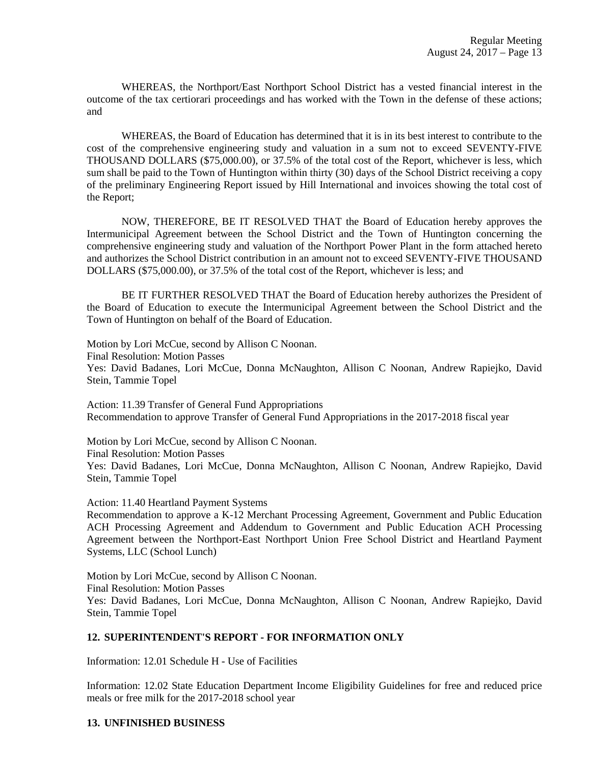WHEREAS, the Northport/East Northport School District has a vested financial interest in the outcome of the tax certiorari proceedings and has worked with the Town in the defense of these actions; and

WHEREAS, the Board of Education has determined that it is in its best interest to contribute to the cost of the comprehensive engineering study and valuation in a sum not to exceed SEVENTY-FIVE THOUSAND DOLLARS (\$75,000.00), or 37.5% of the total cost of the Report, whichever is less, which sum shall be paid to the Town of Huntington within thirty (30) days of the School District receiving a copy of the preliminary Engineering Report issued by Hill International and invoices showing the total cost of the Report;

NOW, THEREFORE, BE IT RESOLVED THAT the Board of Education hereby approves the Intermunicipal Agreement between the School District and the Town of Huntington concerning the comprehensive engineering study and valuation of the Northport Power Plant in the form attached hereto and authorizes the School District contribution in an amount not to exceed SEVENTY-FIVE THOUSAND DOLLARS (\$75,000.00), or 37.5% of the total cost of the Report, whichever is less; and

BE IT FURTHER RESOLVED THAT the Board of Education hereby authorizes the President of the Board of Education to execute the Intermunicipal Agreement between the School District and the Town of Huntington on behalf of the Board of Education.

Motion by Lori McCue, second by Allison C Noonan.

Final Resolution: Motion Passes

Yes: David Badanes, Lori McCue, Donna McNaughton, Allison C Noonan, Andrew Rapiejko, David Stein, Tammie Topel

Action: 11.39 Transfer of General Fund Appropriations Recommendation to approve Transfer of General Fund Appropriations in the 2017-2018 fiscal year

Motion by Lori McCue, second by Allison C Noonan.

Final Resolution: Motion Passes

Yes: David Badanes, Lori McCue, Donna McNaughton, Allison C Noonan, Andrew Rapiejko, David Stein, Tammie Topel

Action: 11.40 Heartland Payment Systems

Recommendation to approve a K-12 Merchant Processing Agreement, Government and Public Education ACH Processing Agreement and Addendum to Government and Public Education ACH Processing Agreement between the Northport-East Northport Union Free School District and Heartland Payment Systems, LLC (School Lunch)

Motion by Lori McCue, second by Allison C Noonan. Final Resolution: Motion Passes Yes: David Badanes, Lori McCue, Donna McNaughton, Allison C Noonan, Andrew Rapiejko, David Stein, Tammie Topel

### **12. SUPERINTENDENT'S REPORT - FOR INFORMATION ONLY**

Information: 12.01 Schedule H - Use of Facilities

Information: 12.02 State Education Department Income Eligibility Guidelines for free and reduced price meals or free milk for the 2017-2018 school year

### **13. UNFINISHED BUSINESS**